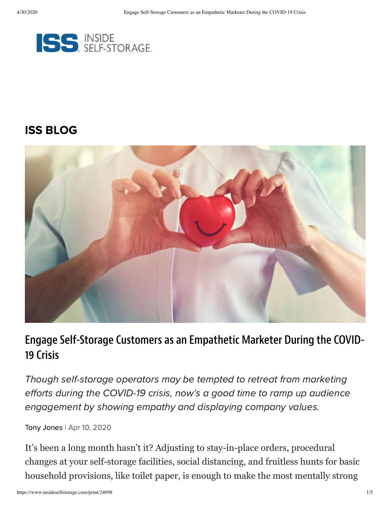

#### [ISS BLOG](https://www.insideselfstorage.com/iss-blog)



### Engage Self-Storage Customers as an Empathetic Marketer During the COVID-19 Crisis

Though self-storage operators may be tempted to retreat from marketing efforts during the COVID-19 crisis, now's a good time to ramp up audience engagement by showing empathy and displaying company values.

Tony [Jones](https://www.insideselfstorage.com/author/Tony-Jones) | Apr 10, 2020

It's been a long month hasn't it? Adjusting to stay-in-place orders, procedural changes at your self-storage facilities, social distancing, and fruitless hunts for basic household provisions, like toilet paper, is enough to make the most mentally strong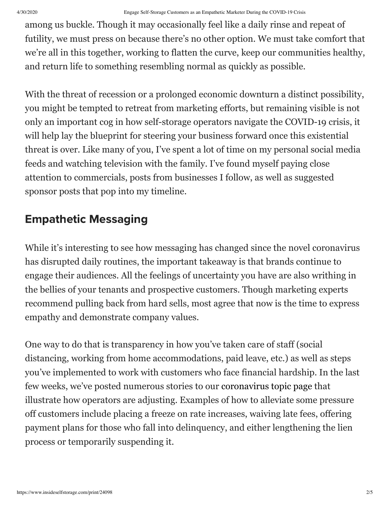among us buckle. Though it may occasionally feel like a daily rinse and repeat of futility, we must press on because there's no other option. We must take comfort that we're all in this together, working to flatten the curve, keep our communities healthy, and return life to something resembling normal as quickly as possible.

With the threat of recession or a prolonged economic downturn a distinct possibility, you might be tempted to retreat from marketing efforts, but remaining visible is not only an important cog in how self-storage operators navigate the COVID-19 crisis, it will help lay the blueprint for steering your business forward once this existential threat is over. Like many of you, I've spent a lot of time on my personal social media feeds and watching television with the family. I've found myself paying close attention to commercials, posts from businesses I follow, as well as suggested sponsor posts that pop into my timeline.

## Empathetic Messaging

While it's interesting to see how messaging has changed since the novel coronavirus has disrupted daily routines, the important takeaway is that brands continue to engage their audiences. All the feelings of uncertainty you have are also writhing in the bellies of your tenants and prospective customers. Though marketing experts recommend pulling back from hard sells, most agree that now is the time to express empathy and demonstrate company values.

One way to do that is transparency in how you've taken care of staff (social distancing, working from home accommodations, paid leave, etc.) as well as steps you've implemented to work with customers who face financial hardship. In the last few weeks, we've posted numerous stories to our [coronavirus topic page](https://www.insideselfstorage.com/coronavirus-covid-19) that illustrate how operators are adjusting. Examples of how to alleviate some pressure off customers include placing a freeze on rate increases, waiving late fees, offering payment plans for those who fall into delinquency, and either lengthening the lien process or temporarily suspending it.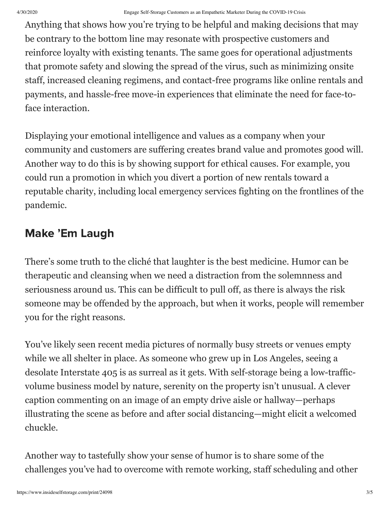Anything that shows how you're trying to be helpful and making decisions that may be contrary to the bottom line may resonate with prospective customers and reinforce loyalty with existing tenants. The same goes for operational adjustments that promote safety and slowing the spread of the virus, such as minimizing onsite staff, increased cleaning regimens, and contact-free programs like online rentals and payments, and hassle-free move-in experiences that eliminate the need for face-toface interaction.

Displaying your emotional intelligence and values as a company when your community and customers are suffering creates brand value and promotes good will. Another way to do this is by showing support for ethical causes. For example, you could run a promotion in which you divert a portion of new rentals toward a reputable charity, including local emergency services fighting on the frontlines of the pandemic.

# Make 'Em Laugh

There's some truth to the cliché that laughter is the best medicine. Humor can be therapeutic and cleansing when we need a distraction from the solemnness and seriousness around us. This can be difficult to pull off, as there is always the risk someone may be offended by the approach, but when it works, people will remember you for the right reasons.

You've likely seen recent media pictures of normally busy streets or venues empty while we all shelter in place. As someone who grew up in Los Angeles, seeing a desolate Interstate 405 is as surreal as it gets. With self-storage being a low-trafficvolume business model by nature, serenity on the property isn't unusual. A clever caption commenting on an image of an empty drive aisle or hallway—perhaps illustrating the scene as before and after social distancing—might elicit a welcomed chuckle.

Another way to tastefully show your sense of humor is to share some of the challenges you've had to overcome with remote working, staff scheduling and other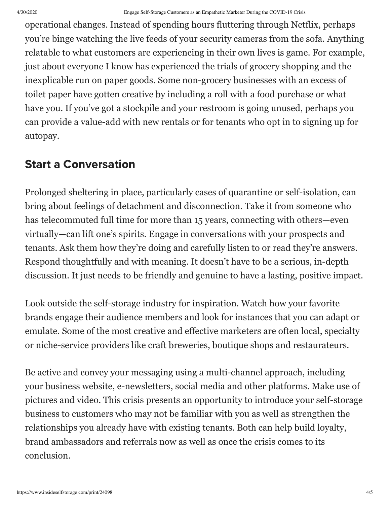operational changes. Instead of spending hours fluttering through Netflix, perhaps you're binge watching the live feeds of your security cameras from the sofa. Anything relatable to what customers are experiencing in their own lives is game. For example, just about everyone I know has experienced the trials of grocery shopping and the inexplicable run on paper goods. Some non-grocery businesses with an excess of toilet paper have gotten creative by including a roll with a food purchase or what have you. If you've got a stockpile and your restroom is going unused, perhaps you can provide a value-add with new rentals or for tenants who opt in to signing up for autopay.

#### Start a Conversation

Prolonged sheltering in place, particularly cases of quarantine or self-isolation, can bring about feelings of detachment and disconnection. Take it from someone who has telecommuted full time for more than 15 years, connecting with others—even virtually—can lift one's spirits. Engage in conversations with your prospects and tenants. Ask them how they're doing and carefully listen to or read they're answers. Respond thoughtfully and with meaning. It doesn't have to be a serious, in-depth discussion. It just needs to be friendly and genuine to have a lasting, positive impact.

Look outside the self-storage industry for inspiration. Watch how your favorite brands engage their audience members and look for instances that you can adapt or emulate. Some of the most creative and effective marketers are often local, specialty or niche-service providers like craft breweries, boutique shops and restaurateurs.

Be active and convey your messaging using a multi-channel approach, including your business website, e-newsletters, social media and other platforms. Make use of pictures and video. This crisis presents an opportunity to introduce your self-storage business to customers who may not be familiar with you as well as strengthen the relationships you already have with existing tenants. Both can help build loyalty, brand ambassadors and referrals now as well as once the crisis comes to its conclusion.